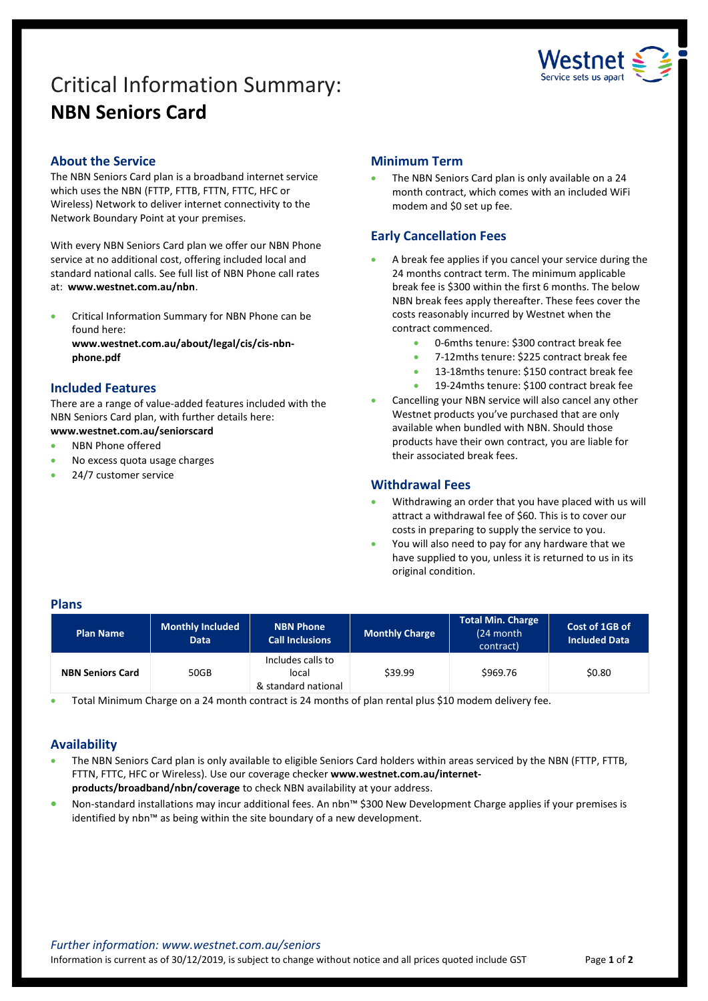# Critical Information Summary: **NBN Seniors Card**



# **About the Service**

The NBN Seniors Card plan is a broadband internet service which uses the NBN (FTTP, FTTB, FTTN, FTTC, HFC or Wireless) Network to deliver internet connectivity to the Network Boundary Point at your premises.

With every NBN Seniors Card plan we offer our NBN Phone service at no additional cost, offering included local and standard national calls. See full list of NBN Phone call rates at: **www.westnet.com.au/nbn**.

 Critical Information Summary for NBN Phone can be found here:

**www.westnet.com.au/about/legal/cis/cis-nbnphone.pdf**

# **Included Features**

There are a range of value-added features included with the NBN Seniors Card plan, with further details here: **www.westnet.com.au/seniorscard**

# NBN Phone offered

- No excess quota usage charges
- 24/7 customer service

# **Minimum Term**

 The NBN Seniors Card plan is only available on a 24 month contract, which comes with an included WiFi modem and \$0 set up fee.

# **Early Cancellation Fees**

- A break fee applies if you cancel your service during the 24 months contract term. The minimum applicable break fee is \$300 within the first 6 months. The below NBN break fees apply thereafter. These fees cover the costs reasonably incurred by Westnet when the contract commenced.
	- 0-6mths tenure: \$300 contract break fee
	- 7-12mths tenure: \$225 contract break fee
	- 13-18mths tenure: \$150 contract break fee
	- 19-24mths tenure: \$100 contract break fee
- Cancelling your NBN service will also cancel any other Westnet products you've purchased that are only available when bundled with NBN. Should those products have their own contract, you are liable for their associated break fees.

#### **Withdrawal Fees**

- Withdrawing an order that you have placed with us will attract a withdrawal fee of \$60. This is to cover our costs in preparing to supply the service to you.
- You will also need to pay for any hardware that we have supplied to you, unless it is returned to us in its original condition.

#### **Plans**

| <b>Plan Name</b>        | <b>Monthly Included</b><br><b>Data</b> | <b>NBN Phone</b><br><b>Call Inclusions</b>        | <b>Monthly Charge</b> | <b>Total Min. Charge</b><br>(24 month<br>contract) | Cost of 1GB of<br><b>Included Data</b> |
|-------------------------|----------------------------------------|---------------------------------------------------|-----------------------|----------------------------------------------------|----------------------------------------|
| <b>NBN Seniors Card</b> | 50GB                                   | Includes calls to<br>local<br>& standard national | \$39.99               | \$969.76                                           | \$0.80                                 |

Total Minimum Charge on a 24 month contract is 24 months of plan rental plus \$10 modem delivery fee.

# **Availability**

- The NBN Seniors Card plan is only available to eligible Seniors Card holders within areas serviced by the NBN (FTTP, FTTB, FTTN, FTTC, HFC or Wireless). Use ou[r coverage checker](https://www.westnet.com.au/internet-products/broadband/nbn/coverage/) **www.westnet.com.au/internetproducts/broadband/nbn/coverage** to check NBN availability at your address.
- Non-standard installations may incur additional fees. An nbn™ \$300 New Development Charge applies if your premises is identified by nbn™ as being within the site boundary of a new development.